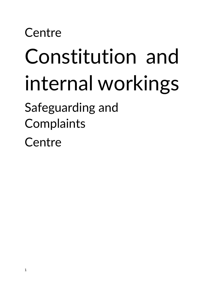## **Centre**

## Constitution and internal workings

Safeguarding and

Complaints

**Centre**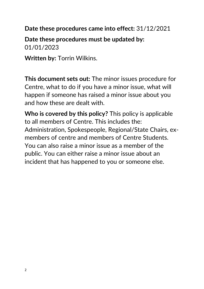**Date these procedures came into effect:** 31/12/2021

**Date these procedures must be updated by:** 01/01/2023

**Written by:** Torrin Wilkins.

**This document sets out:** The minor issues procedure for Centre, what to do if you have a minor issue, what will happen if someone has raised a minor issue about you and how these are dealt with.

**Who is covered by this policy?** This policy is applicable to all members of Centre. This includes the: Administration, Spokespeople, Regional/State Chairs, exmembers of centre and members of Centre Students. You can also raise a minor issue as a member of the public. You can either raise a minor issue about an incident that has happened to you or someone else.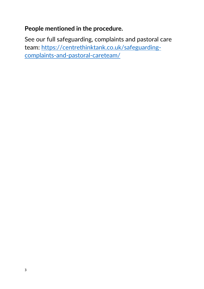## **People mentioned in the procedure.**

See our full safeguarding, complaints and pastoral care team: [https://centrethinktank.co.uk/safeguarding](https://centrethinktank.co.uk/safeguarding-complaints-and-pastoral-careteam/)[complaints-and-pastoral-careteam/](https://centrethinktank.co.uk/safeguarding-complaints-and-pastoral-careteam/)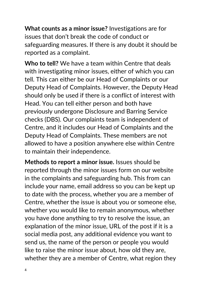**What counts as a minor issue?** Investigations are for issues that don't break the code of conduct or safeguarding measures. If there is any doubt it should be reported as a complaint.

**Who to tell?** We have a team within Centre that deals with investigating minor issues, either of which you can tell. This can either be our Head of Complaints or our Deputy Head of Complaints. However, the Deputy Head should only be used if there is a conflict of interest with Head. You can tell either person and both have previously undergone Disclosure and Barring Service checks (DBS). Our complaints team is independent of Centre, and it includes our Head of Complaints and the Deputy Head of Complaints. These members are not allowed to have a position anywhere else within Centre to maintain their independence.

**Methods to report a minor issue.** Issues should be reported through the minor issues form on our website in the complaints and safeguarding hub. This from can include your name, email address so you can be kept up to date with the process, whether you are a member of Centre, whether the issue is about you or someone else, whether you would like to remain anonymous, whether you have done anything to try to resolve the issue, an explanation of the minor issue, URL of the post if it is a social media post, any additional evidence you want to send us, the name of the person or people you would like to raise the minor issue about, how old they are, whether they are a member of Centre, what region they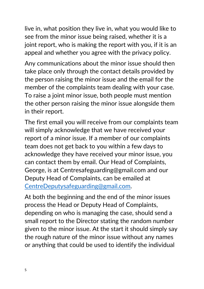live in, what position they live in, what you would like to see from the minor issue being raised, whether it is a joint report, who is making the report with you, if it is an appeal and whether you agree with the privacy policy.

Any communications about the minor issue should then take place only through the contact details provided by the person raising the minor issue and the email for the member of the complaints team dealing with your case. To raise a joint minor issue, both people must mention the other person raising the minor issue alongside them in their report.

The first email you will receive from our complaints team will simply acknowledge that we have received your report of a minor issue. If a member of our complaints team does not get back to you within a few days to acknowledge they have received your minor issue, you can contact them by email. Our Head of Complaints, George, is at Centresafeguarding@gmail.com and our Deputy Head of Complaints, can be emailed at [CentreDeputysafeguarding@gmail.com.](mailto:CentreDeputysafeguarding@gmail.com)

At both the beginning and the end of the minor issues process the Head or Deputy Head of Complaints, depending on who is managing the case, should send a small report to the Director stating the random number given to the minor issue. At the start it should simply say the rough nature of the minor issue without any names or anything that could be used to identify the individual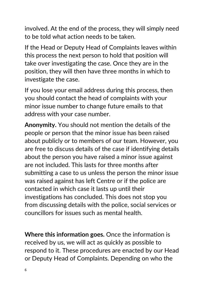involved. At the end of the process, they will simply need to be told what action needs to be taken.

If the Head or Deputy Head of Complaints leaves within this process the next person to hold that position will take over investigating the case. Once they are in the position, they will then have three months in which to investigate the case.

If you lose your email address during this process, then you should contact the head of complaints with your minor issue number to change future emails to that address with your case number.

**Anonymity.** You should not mention the details of the people or person that the minor issue has been raised about publicly or to members of our team. However, you are free to discuss details of the case if identifying details about the person you have raised a minor issue against are not included. This lasts for three months after submitting a case to us unless the person the minor issue was raised against has left Centre or if the police are contacted in which case it lasts up until their investigations has concluded. This does not stop you from discussing details with the police, social services or councillors for issues such as mental health.

**Where this information goes.** Once the information is received by us, we will act as quickly as possible to respond to it. These procedures are enacted by our Head or Deputy Head of Complaints. Depending on who the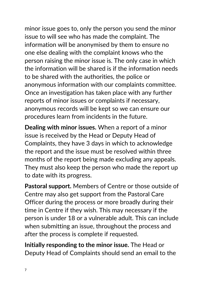minor issue goes to, only the person you send the minor issue to will see who has made the complaint. The information will be anonymised by them to ensure no one else dealing with the complaint knows who the person raising the minor issue is. The only case in which the information will be shared is if the information needs to be shared with the authorities, the police or anonymous information with our complaints committee. Once an investigation has taken place with any further reports of minor issues or complaints if necessary, anonymous records will be kept so we can ensure our procedures learn from incidents in the future.

**Dealing with minor issues.** When a report of a minor issue is received by the Head or Deputy Head of Complaints, they have 3 days in which to acknowledge the report and the issue must be resolved within three months of the report being made excluding any appeals. They must also keep the person who made the report up to date with its progress.

**Pastoral support.** Members of Centre or those outside of Centre may also get support from the Pastoral Care Officer during the process or more broadly during their time in Centre if they wish. This may necessary if the person is under 18 or a vulnerable adult. This can include when submitting an issue, throughout the process and after the process is complete if requested.

**Initially responding to the minor issue.** The Head or Deputy Head of Complaints should send an email to the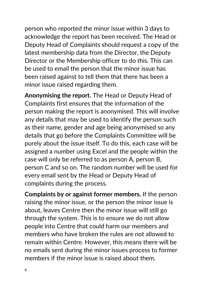person who reported the minor issue within 3 days to acknowledge the report has been received. The Head or Deputy Head of Complaints should request a copy of the latest membership data from the Director, the Deputy Director or the Membership officer to do this. This can be used to email the person that the minor issue has been raised against to tell them that there has been a minor issue raised regarding them.

**Anonymising the report.** The Head or Deputy Head of Complaints first ensures that the information of the person making the report is anonymised. This will involve any details that may be used to identify the person such as their name, gender and age being anonymised so any details that go before the Complaints Committee will be purely about the issue itself. To do this, each case will be assigned a number using Excel and the people within the case will only be referred to as person A, person B, person C and so on. The random number will be used for every email sent by the Head or Deputy Head of complaints during the process.

**Complaints by or against former members.** If the person raising the minor issue, or the person the minor issue is about, leaves Centre then the minor issue will still go through the system. This is to ensure we do not allow people into Centre that could harm our members and members who have broken the rules are not allowed to remain within Centre. However, this means there will be no emails sent during the minor issues process to former members if the minor issue is raised about them.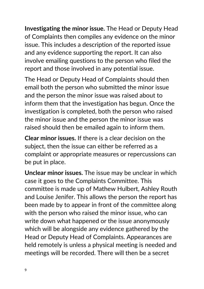**Investigating the minor issue.** The Head or Deputy Head of Complaints then compiles any evidence on the minor issue. This includes a description of the reported issue and any evidence supporting the report. It can also involve emailing questions to the person who filed the report and those involved in any potential issue.

The Head or Deputy Head of Complaints should then email both the person who submitted the minor issue and the person the minor issue was raised about to inform them that the investigation has begun. Once the investigation is completed, both the person who raised the minor issue and the person the minor issue was raised should then be emailed again to inform them.

**Clear minor issues.** If there is a clear decision on the subject, then the issue can either be referred as a complaint or appropriate measures or repercussions can be put in place.

**Unclear minor issues.** The issue may be unclear in which case it goes to the Complaints Committee. This committee is made up of Mathew Hulbert, Ashley Routh and Louise Jenifer. This allows the person the report has been made by to appear in front of the committee along with the person who raised the minor issue, who can write down what happened or the issue anonymously which will be alongside any evidence gathered by the Head or Deputy Head of Complaints. Appearances are held remotely is unless a physical meeting is needed and meetings will be recorded. There will then be a secret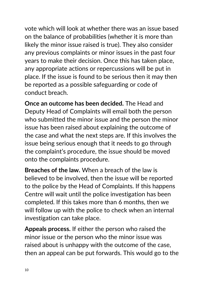vote which will look at whether there was an issue based on the balance of probabilities (whether it is more than likely the minor issue raised is true). They also consider any previous complaints or minor issues in the past four years to make their decision. Once this has taken place, any appropriate actions or repercussions will be put in place. If the issue is found to be serious then it may then be reported as a possible safeguarding or code of conduct breach.

**Once an outcome has been decided.** The Head and Deputy Head of Complaints will email both the person who submitted the minor issue and the person the minor issue has been raised about explaining the outcome of the case and what the next steps are. If this involves the issue being serious enough that it needs to go through the complaint's procedure, the issue should be moved onto the complaints procedure.

**Breaches of the law.** When a breach of the law is believed to be involved, then the issue will be reported to the police by the Head of Complaints. If this happens Centre will wait until the police investigation has been completed. If this takes more than 6 months, then we will follow up with the police to check when an internal investigation can take place.

**Appeals process.** If either the person who raised the minor issue or the person who the minor issue was raised about is unhappy with the outcome of the case, then an appeal can be put forwards. This would go to the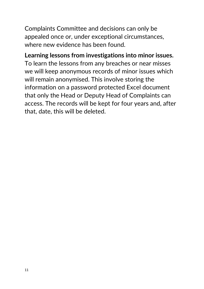Complaints Committee and decisions can only be appealed once or, under exceptional circumstances, where new evidence has been found.

## **Learning lessons from investigations into minor issues.**

To learn the lessons from any breaches or near misses we will keep anonymous records of minor issues which will remain anonymised. This involve storing the information on a password protected Excel document that only the Head or Deputy Head of Complaints can access. The records will be kept for four years and, after that, date, this will be deleted.